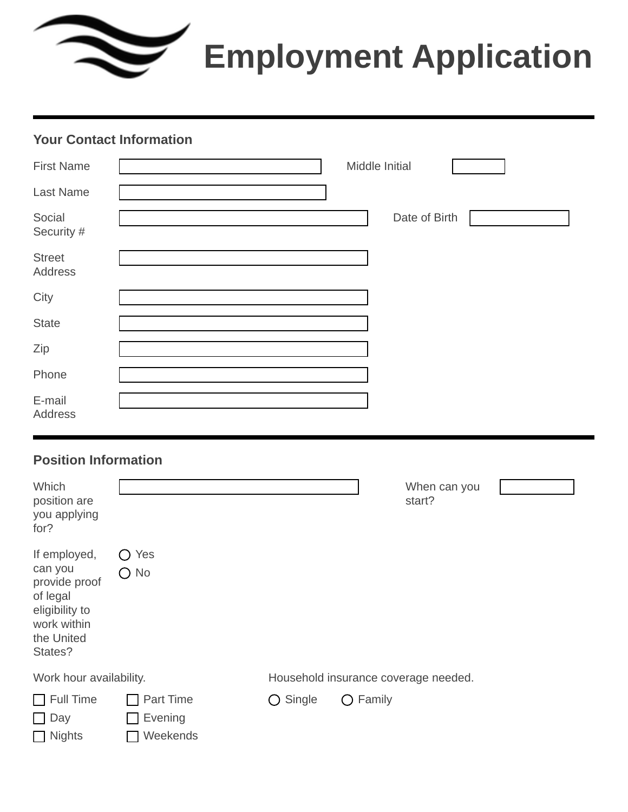# **Employment Application**

#### **Your Contact Information**

| <b>First Name</b>        | Middle Initial |
|--------------------------|----------------|
| <b>Last Name</b>         |                |
| Social<br>Security #     | Date of Birth  |
| <b>Street</b><br>Address |                |
| City                     |                |
| <b>State</b>             |                |
| Zip                      |                |
| Phone                    |                |
| E-mail<br>Address        |                |

#### **Position Information**

| Which<br>position are<br>you applying<br>for?                                                                  |                                  |                   | $\vert \mathbf{v} \vert$ | When can you<br>start?               |  |
|----------------------------------------------------------------------------------------------------------------|----------------------------------|-------------------|--------------------------|--------------------------------------|--|
| If employed,<br>can you<br>provide proof<br>of legal<br>eligibility to<br>work within<br>the United<br>States? | Yes<br>$\bigcap$ No              |                   |                          |                                      |  |
| Work hour availability.                                                                                        |                                  |                   |                          | Household insurance coverage needed. |  |
| Full Time<br>$\mathbf{1}$<br>Day<br>$\cup$ .<br>$\Box$ Nights                                                  | Part Time<br>Evening<br>Weekends | $\bigcirc$ Single | $\bigcirc$ Family        |                                      |  |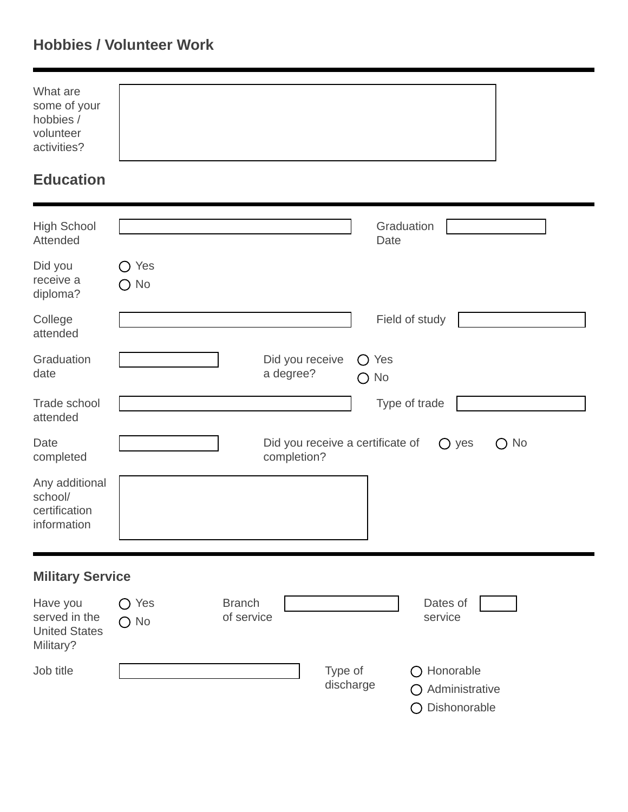# **Hobbies / Volunteer Work**

| What are     |  |  |
|--------------|--|--|
| some of your |  |  |
| hobbies /    |  |  |
| volunteer    |  |  |
| activities?  |  |  |
|              |  |  |

# **Education**

| <b>High School</b><br>Attended                                 |                             | Graduation<br>Date                                                                    |
|----------------------------------------------------------------|-----------------------------|---------------------------------------------------------------------------------------|
| Did you<br>receive a<br>diploma?                               | Yes<br>( )<br>$\bigcirc$ No |                                                                                       |
| College<br>attended                                            |                             | Field of study                                                                        |
| Graduation<br>date                                             |                             | Did you receive<br>Yes<br>$\bigcirc$<br>a degree?<br>$\bigcirc$ No                    |
| <b>Trade school</b><br>attended                                |                             | Type of trade                                                                         |
| Date<br>completed                                              |                             | Did you receive a certificate of<br>$\bigcirc$ No<br>$\bigcirc$<br>yes<br>completion? |
| Any additional<br>school/<br>certification<br>information      |                             |                                                                                       |
| <b>Military Service</b>                                        |                             |                                                                                       |
| Have you<br>served in the<br><b>United States</b><br>Military? | Yes<br>( )<br>$\bigcirc$ No | <b>Branch</b><br>Dates of<br>of service<br>service                                    |

| Job title | Type of   | $\bigcirc$ Honorable     |
|-----------|-----------|--------------------------|
|           | discharge | $\bigcap$ Administrative |
|           |           | ○ Dishonorable           |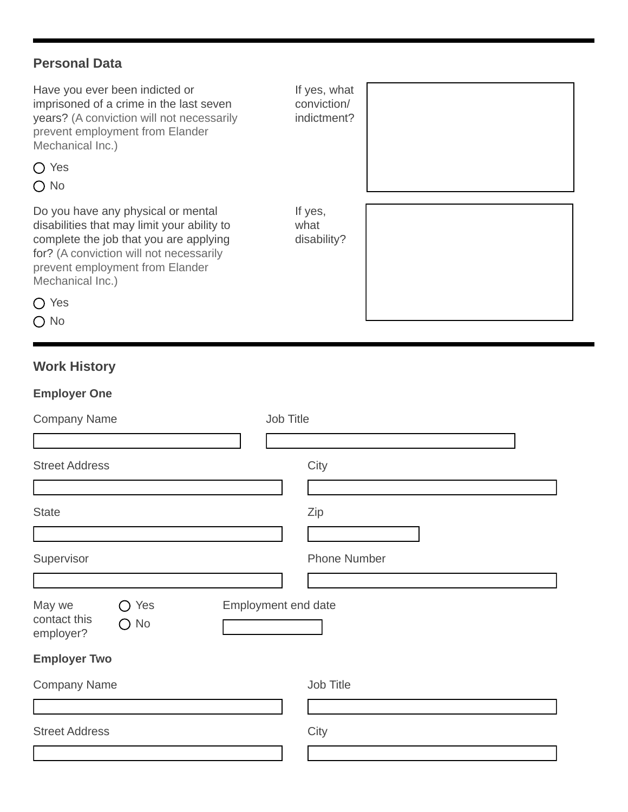#### **Personal Data**

| Have you ever been indicted or<br>imprisoned of a crime in the last seven<br>years? (A conviction will not necessarily<br>prevent employment from Elander<br>Mechanical Inc.)                                                            | If yes, what<br>conviction/<br>indictment? |
|------------------------------------------------------------------------------------------------------------------------------------------------------------------------------------------------------------------------------------------|--------------------------------------------|
| $\bigcap$ Yes<br>$\bigcap$ No                                                                                                                                                                                                            |                                            |
| Do you have any physical or mental<br>disabilities that may limit your ability to<br>complete the job that you are applying<br>for? (A conviction will not necessarily<br>prevent employment from Elander<br>Mechanical Inc.)<br>( ) Yes | If yes,<br>what<br>disability?             |
| $\bigcirc$ No                                                                                                                                                                                                                            |                                            |

## **Work History**

| <b>Employer One</b>                            |                     |
|------------------------------------------------|---------------------|
| <b>Company Name</b>                            | Job Title           |
|                                                |                     |
| <b>Street Address</b>                          | City                |
|                                                |                     |
| <b>State</b>                                   | Zip                 |
|                                                |                     |
| Supervisor                                     | <b>Phone Number</b> |
|                                                |                     |
| May we<br>Yes<br>$\rightarrow$<br>contact this | Employment end date |
| $\bigcirc$ No<br>employer?                     |                     |
| <b>Employer Two</b>                            |                     |
| <b>Company Name</b>                            | Job Title           |
|                                                |                     |
| <b>Street Address</b>                          | City                |
|                                                |                     |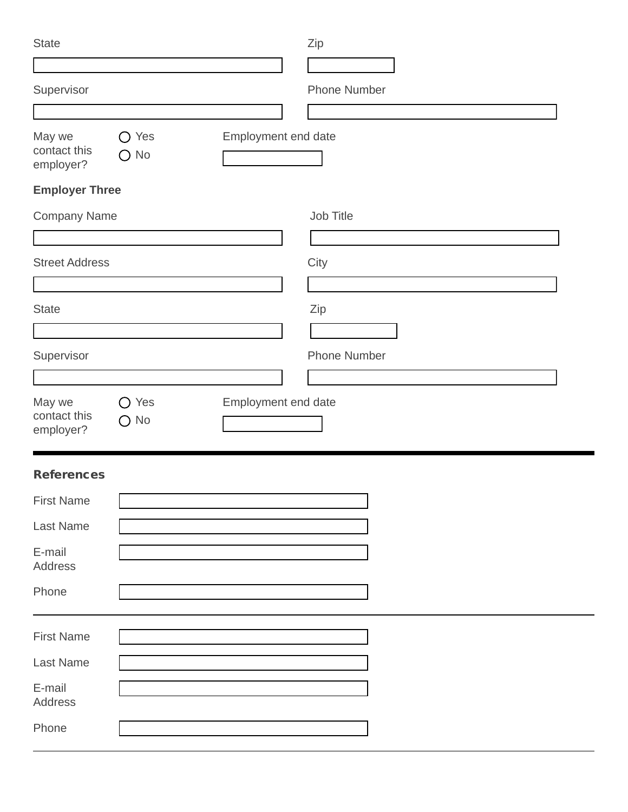| <b>State</b>                        |                             |                     | Zip                 |
|-------------------------------------|-----------------------------|---------------------|---------------------|
|                                     |                             |                     |                     |
| Supervisor                          |                             |                     | <b>Phone Number</b> |
|                                     |                             |                     |                     |
| May we<br>contact this<br>employer? | Yes<br>◯<br>$\bigcirc$ No   | Employment end date |                     |
| <b>Employer Three</b>               |                             |                     |                     |
| <b>Company Name</b>                 |                             |                     | Job Title           |
|                                     |                             |                     |                     |
| <b>Street Address</b>               |                             |                     | City                |
|                                     |                             |                     |                     |
| <b>State</b>                        |                             |                     | Zip                 |
|                                     |                             |                     |                     |
| Supervisor                          |                             |                     | <b>Phone Number</b> |
|                                     |                             |                     |                     |
|                                     |                             |                     |                     |
| May we<br>contact this<br>employer? | Yes<br>( )<br>$\bigcirc$ No | Employment end date |                     |
| <b>References</b>                   |                             |                     |                     |
| <b>First Name</b>                   |                             |                     |                     |
| Last Name                           |                             |                     |                     |
| E-mail<br>Address                   |                             |                     |                     |
| Phone                               |                             |                     |                     |
| <b>First Name</b>                   |                             |                     |                     |
| Last Name                           |                             |                     |                     |
| E-mail<br>Address                   |                             |                     |                     |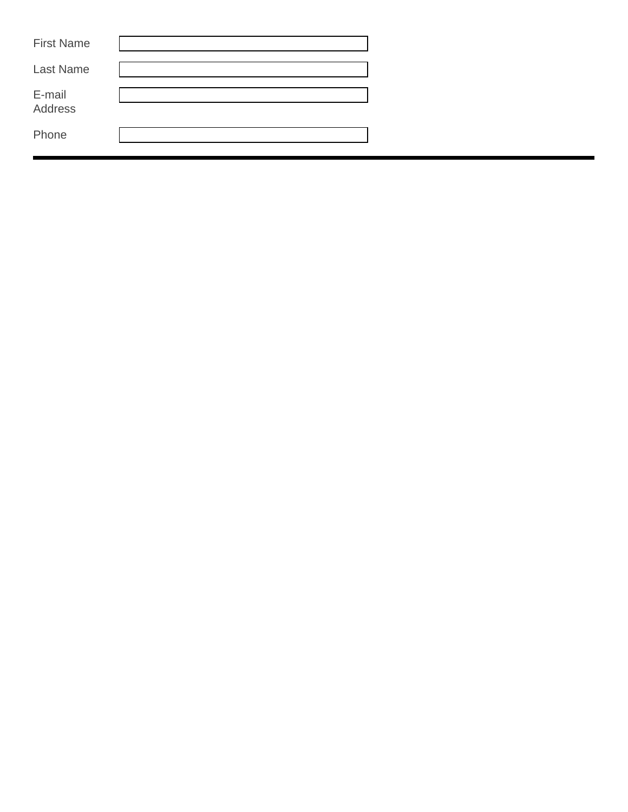| <b>First Name</b> |  |
|-------------------|--|
| <b>Last Name</b>  |  |
| E-mail<br>Address |  |
| Phone             |  |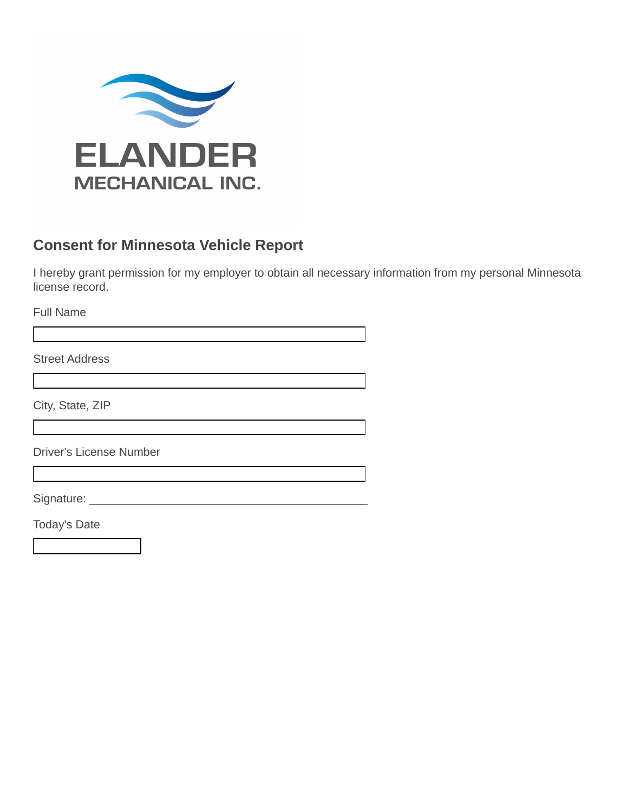

### **Consent for Minnesota Vehicle Report**

I hereby grant permission for my employer to obtain all necessary information from my personal Minnesota license record.

Full Name

Street Address

City, State, ZIP

Driver's License Number

Signature: \_\_\_\_\_\_\_\_\_\_\_\_\_\_\_\_\_\_\_\_\_\_\_\_\_\_\_\_\_\_\_\_\_\_\_\_\_\_\_\_\_\_\_

Today's Date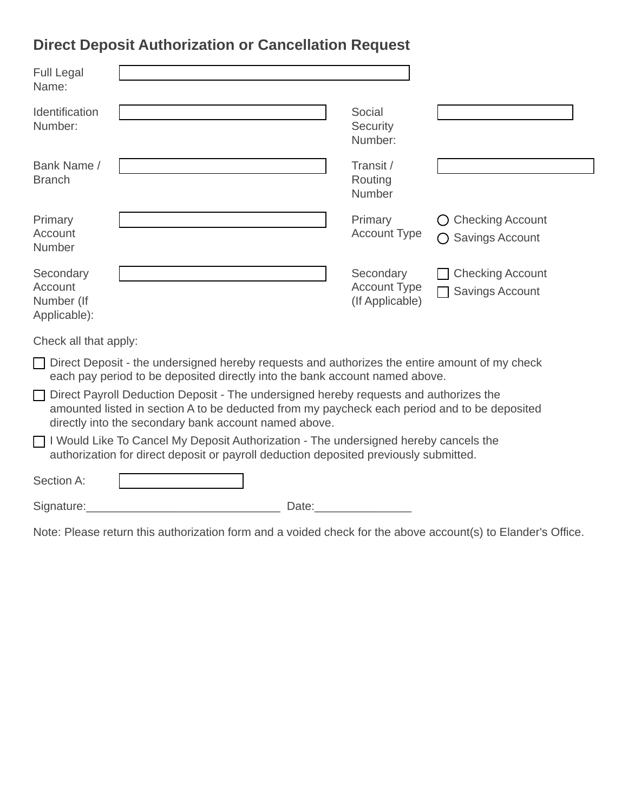# **Direct Deposit Authorization or Cancellation Request**

| <b>Full Legal</b><br>Name:                                                                                                                                                                                                                     |                                                                                                                                                                              |                                                     |                                                   |  |
|------------------------------------------------------------------------------------------------------------------------------------------------------------------------------------------------------------------------------------------------|------------------------------------------------------------------------------------------------------------------------------------------------------------------------------|-----------------------------------------------------|---------------------------------------------------|--|
| Identification<br>Number:                                                                                                                                                                                                                      |                                                                                                                                                                              | Social<br>Security<br>Number:                       |                                                   |  |
| Bank Name /<br><b>Branch</b>                                                                                                                                                                                                                   |                                                                                                                                                                              | Transit /<br>Routing<br><b>Number</b>               |                                                   |  |
| Primary<br>Account<br>Number                                                                                                                                                                                                                   |                                                                                                                                                                              | Primary<br><b>Account Type</b>                      | <b>Checking Account</b><br><b>Savings Account</b> |  |
| Secondary<br>Account<br>Number (If<br>Applicable):                                                                                                                                                                                             |                                                                                                                                                                              | Secondary<br><b>Account Type</b><br>(If Applicable) | <b>Checking Account</b><br><b>Savings Account</b> |  |
| Check all that apply:                                                                                                                                                                                                                          |                                                                                                                                                                              |                                                     |                                                   |  |
|                                                                                                                                                                                                                                                | Direct Deposit - the undersigned hereby requests and authorizes the entire amount of my check<br>each pay period to be deposited directly into the bank account named above. |                                                     |                                                   |  |
| Direct Payroll Deduction Deposit - The undersigned hereby requests and authorizes the<br>amounted listed in section A to be deducted from my paycheck each period and to be deposited<br>directly into the secondary bank account named above. |                                                                                                                                                                              |                                                     |                                                   |  |
| $\Box$ I Would Like To Cancel My Deposit Authorization - The undersigned hereby cancels the<br>authorization for direct deposit or payroll deduction deposited previously submitted.                                                           |                                                                                                                                                                              |                                                     |                                                   |  |
| Section A:                                                                                                                                                                                                                                     |                                                                                                                                                                              |                                                     |                                                   |  |
| Signature:                                                                                                                                                                                                                                     | Date:                                                                                                                                                                        |                                                     |                                                   |  |

Note: Please return this authorization form and a voided check for the above account(s) to Elander's Office.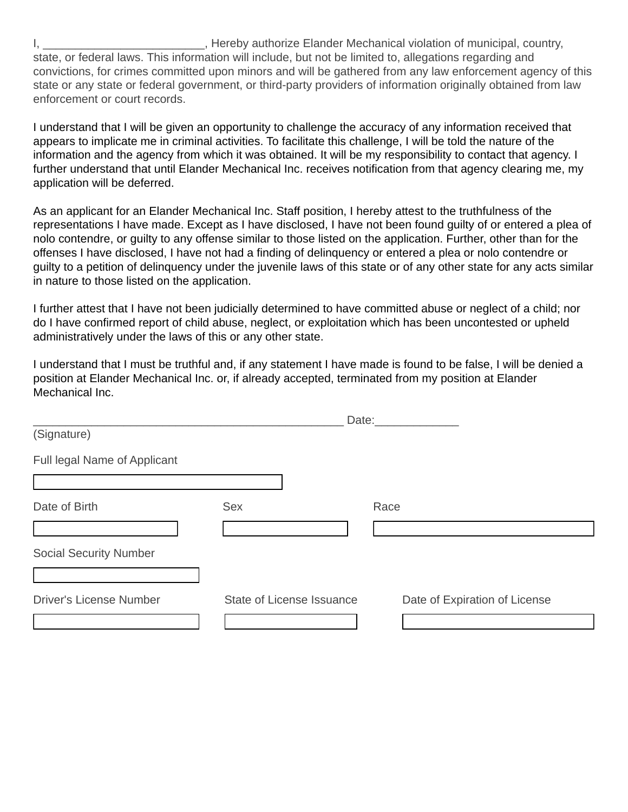I, \_\_\_\_\_\_\_\_\_\_\_\_\_\_\_\_\_\_\_\_\_\_\_\_\_\_\_\_, Hereby authorize Elander Mechanical violation of municipal, country, state, or federal laws. This information will include, but not be limited to, allegations regarding and convictions, for crimes committed upon minors and will be gathered from any law enforcement agency of this state or any state or federal government, or third-party providers of information originally obtained from law enforcement or court records.

I understand that I will be given an opportunity to challenge the accuracy of any information received that appears to implicate me in criminal activities. To facilitate this challenge, I will be told the nature of the information and the agency from which it was obtained. It will be my responsibility to contact that agency. I further understand that until Elander Mechanical Inc. receives notification from that agency clearing me, my application will be deferred.

As an applicant for an Elander Mechanical Inc. Staff position, I hereby attest to the truthfulness of the representations I have made. Except as I have disclosed, I have not been found guilty of or entered a plea of nolo contendre, or guilty to any offense similar to those listed on the application. Further, other than for the offenses I have disclosed, I have not had a finding of delinquency or entered a plea or nolo contendre or guilty to a petition of delinquency under the juvenile laws of this state or of any other state for any acts similar in nature to those listed on the application.

I further attest that I have not been judicially determined to have committed abuse or neglect of a child; nor do I have confirmed report of child abuse, neglect, or exploitation which has been uncontested or upheld administratively under the laws of this or any other state.

I understand that I must be truthful and, if any statement I have made is found to be false, I will be denied a position at Elander Mechanical Inc. or, if already accepted, terminated from my position at Elander Mechanical Inc.

|                                |                           | Date:                         |
|--------------------------------|---------------------------|-------------------------------|
| (Signature)                    |                           |                               |
| Full legal Name of Applicant   |                           |                               |
|                                |                           |                               |
| Date of Birth                  | <b>Sex</b>                | Race                          |
|                                |                           |                               |
| <b>Social Security Number</b>  |                           |                               |
|                                |                           |                               |
| <b>Driver's License Number</b> | State of License Issuance | Date of Expiration of License |
|                                |                           |                               |